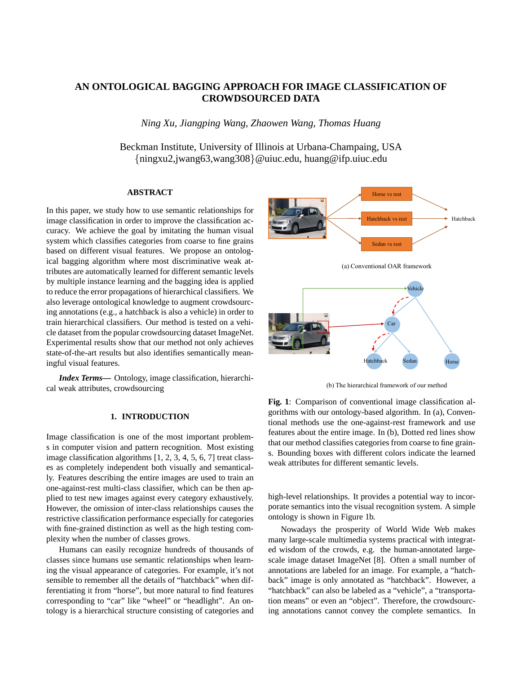# **AN ONTOLOGICAL BAGGING APPROACH FOR IMAGE CLASSIFICATION OF CROWDSOURCED DATA**

*Ning Xu, Jiangping Wang, Zhaowen Wang, Thomas Huang*

Beckman Institute, University of Illinois at Urbana-Champaing, USA {ningxu2,jwang63,wang308}@uiuc.edu, huang@ifp.uiuc.edu

# **ABSTRACT**

In this paper, we study how to use semantic relationships for image classification in order to improve the classification accuracy. We achieve the goal by imitating the human visual system which classifies categories from coarse to fine grains based on different visual features. We propose an ontological bagging algorithm where most discriminative weak attributes are automatically learned for different semantic levels by multiple instance learning and the bagging idea is applied to reduce the error propagations of hierarchical classifiers. We also leverage ontological knowledge to augment crowdsourcing annotations (e.g., a hatchback is also a vehicle) in order to train hierarchical classifiers. Our method is tested on a vehicle dataset from the popular crowdsourcing dataset ImageNet. Experimental results show that our method not only achieves state-of-the-art results but also identifies semantically meaningful visual features.

*Index Terms***—** Ontology, image classification, hierarchical weak attributes, crowdsourcing

# **1. INTRODUCTION**

Image classification is one of the most important problems in computer vision and pattern recognition. Most existing image classification algorithms [1, 2, 3, 4, 5, 6, 7] treat classes as completely independent both visually and semantically. Features describing the entire images are used to train an one-against-rest multi-class classifier, which can be then applied to test new images against every category exhaustively. However, the omission of inter-class relationships causes the restrictive classification performance especially for categories with fine-grained distinction as well as the high testing complexity when the number of classes grows.

Humans can easily recognize hundreds of thousands of classes since humans use semantic relationships when learning the visual appearance of categories. For example, it's not sensible to remember all the details of "hatchback" when differentiating it from "horse", but more natural to find features corresponding to "car" like "wheel" or "headlight". An ontology is a hierarchical structure consisting of categories and



(b) The hierarchical framework of our method

**Fig. 1**: Comparison of conventional image classification algorithms with our ontology-based algorithm. In (a), Conventional methods use the one-against-rest framework and use features about the entire image. In (b), Dotted red lines show that our method classifies categories from coarse to fine grains. Bounding boxes with different colors indicate the learned weak attributes for different semantic levels.

high-level relationships. It provides a potential way to incorporate semantics into the visual recognition system. A simple ontology is shown in Figure 1b.

Nowadays the prosperity of World Wide Web makes many large-scale multimedia systems practical with integrated wisdom of the crowds, e.g. the human-annotated largescale image dataset ImageNet [8]. Often a small number of annotations are labeled for an image. For example, a "hatchback" image is only annotated as "hatchback". However, a "hatchback" can also be labeled as a "vehicle", a "transportation means" or even an "object". Therefore, the crowdsourcing annotations cannot convey the complete semantics. In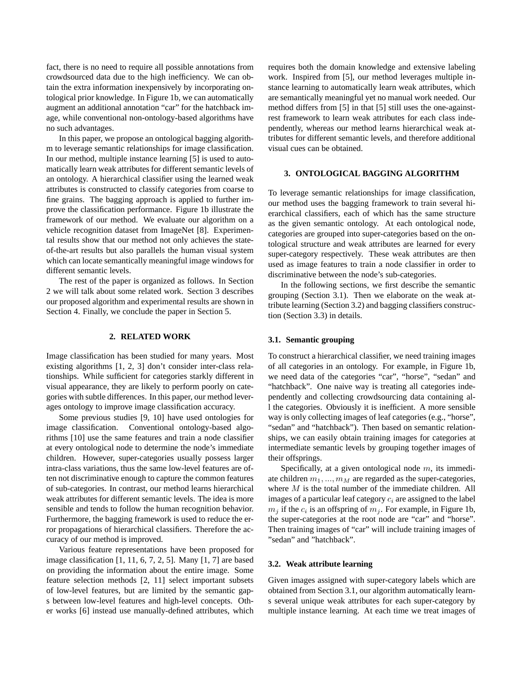fact, there is no need to require all possible annotations from crowdsourced data due to the high inefficiency. We can obtain the extra information inexpensively by incorporating ontological prior knowledge. In Figure 1b, we can automatically augment an additional annotation "car" for the hatchback image, while conventional non-ontology-based algorithms have no such advantages.

In this paper, we propose an ontological bagging algorithm to leverage semantic relationships for image classification. In our method, multiple instance learning [5] is used to automatically learn weak attributes for different semantic levels of an ontology. A hierarchical classifier using the learned weak attributes is constructed to classify categories from coarse to fine grains. The bagging approach is applied to further improve the classification performance. Figure 1b illustrate the framework of our method. We evaluate our algorithm on a vehicle recognition dataset from ImageNet [8]. Experimental results show that our method not only achieves the stateof-the-art results but also parallels the human visual system which can locate semantically meaningful image windows for different semantic levels.

The rest of the paper is organized as follows. In Section 2 we will talk about some related work. Section 3 describes our proposed algorithm and experimental results are shown in Section 4. Finally, we conclude the paper in Section 5.

## **2. RELATED WORK**

Image classification has been studied for many years. Most existing algorithms [1, 2, 3] don't consider inter-class relationships. While sufficient for categories starkly different in visual appearance, they are likely to perform poorly on categories with subtle differences. In this paper, our method leverages ontology to improve image classification accuracy.

Some previous studies [9, 10] have used ontologies for image classification. Conventional ontology-based algorithms [10] use the same features and train a node classifier at every ontological node to determine the node's immediate children. However, super-categories usually possess larger intra-class variations, thus the same low-level features are often not discriminative enough to capture the common features of sub-categories. In contrast, our method learns hierarchical weak attributes for different semantic levels. The idea is more sensible and tends to follow the human recognition behavior. Furthermore, the bagging framework is used to reduce the error propagations of hierarchical classifiers. Therefore the accuracy of our method is improved.

Various feature representations have been proposed for image classification [1, 11, 6, 7, 2, 5]. Many [1, 7] are based on providing the information about the entire image. Some feature selection methods [2, 11] select important subsets of low-level features, but are limited by the semantic gaps between low-level features and high-level concepts. Other works [6] instead use manually-defined attributes, which

requires both the domain knowledge and extensive labeling work. Inspired from [5], our method leverages multiple instance learning to automatically learn weak attributes, which are semantically meaningful yet no manual work needed. Our method differs from [5] in that [5] still uses the one-againstrest framework to learn weak attributes for each class independently, whereas our method learns hierarchical weak attributes for different semantic levels, and therefore additional visual cues can be obtained.

# **3. ONTOLOGICAL BAGGING ALGORITHM**

To leverage semantic relationships for image classification, our method uses the bagging framework to train several hierarchical classifiers, each of which has the same structure as the given semantic ontology. At each ontological node, categories are grouped into super-categories based on the ontological structure and weak attributes are learned for every super-category respectively. These weak attributes are then used as image features to train a node classifier in order to discriminative between the node's sub-categories.

In the following sections, we first describe the semantic grouping (Section 3.1). Then we elaborate on the weak attribute learning (Section 3.2) and bagging classifiers construction (Section 3.3) in details.

### **3.1. Semantic grouping**

To construct a hierarchical classifier, we need training images of all categories in an ontology. For example, in Figure 1b, we need data of the categories "car", "horse", "sedan" and "hatchback". One naive way is treating all categories independently and collecting crowdsourcing data containing all the categories. Obviously it is inefficient. A more sensible way is only collecting images of leaf categories (e.g., "horse", "sedan" and "hatchback"). Then based on semantic relationships, we can easily obtain training images for categories at intermediate semantic levels by grouping together images of their offsprings.

Specifically, at a given ontological node  $m$ , its immediate children  $m_1, ..., m_M$  are regarded as the super-categories, where M is the total number of the immediate children. All images of a particular leaf category  $c_i$  are assigned to the label  $m_j$  if the  $c_i$  is an offspring of  $m_j$ . For example, in Figure 1b, the super-categories at the root node are "car" and "horse". Then training images of "car" will include training images of "sedan" and "hatchback".

### **3.2. Weak attribute learning**

Given images assigned with super-category labels which are obtained from Section 3.1, our algorithm automatically learns several unique weak attributes for each super-category by multiple instance learning. At each time we treat images of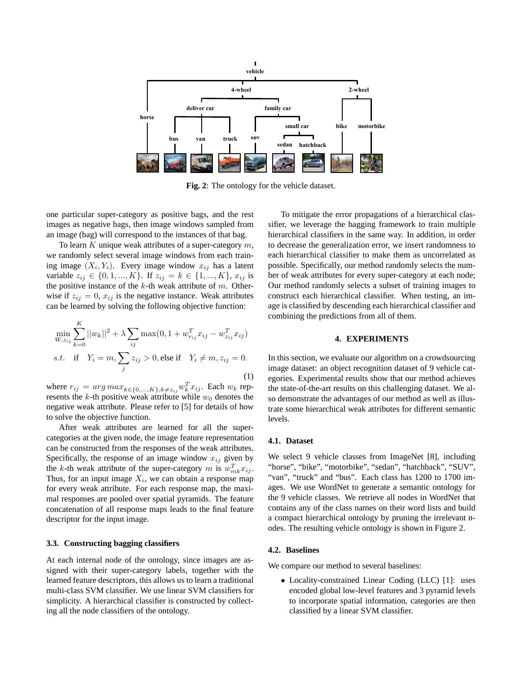

**Fig. 2**: The ontology for the vehicle dataset.

one particular super-category as positive bags, and the rest images as negative bags, then image windows sampled from an image (bag) will correspond to the instances of that bag.

To learn K unique weak attributes of a super-category  $m$ , we randomly select several image windows from each training image  $(X_i, Y_i)$ . Every image window  $x_{ij}$  has a latent variable  $z_{ij} \in \{0, 1, ..., K\}$ . If  $z_{ij} = k \in \{1, ..., K\}$ ,  $x_{ij}$  is the positive instance of the  $k$ -th weak attribute of  $m$ . Otherwise if  $z_{ij} = 0$ ,  $x_{ij}$  is the negative instance. Weak attributes can be learned by solving the following objective function:

$$
\min_{W,z_{ij}} \sum_{k=0}^{K} ||w_k||^2 + \lambda \sum_{ij} \max(0, 1 + w_{r_{ij}}^T x_{ij} - w_{z_{ij}}^T x_{ij})
$$
  
s.t. if  $Y_i = m, \sum_j z_{ij} > 0$ , else if  $Y_i \neq m, z_{ij} = 0$ . (1)

where  $r_{ij} = arg max_{k \in \{0, ..., K\}, k \neq z_{ij}} w_k^T x_{ij}$ . Each  $w_k$  represents the  $k$ -th positive weak attribute while  $w_0$  denotes the negative weak attribute. Please refer to [5] for details of how to solve the objective function.

After weak attributes are learned for all the supercategories at the given node, the image feature representation can be constructed from the responses of the weak attributes. Specifically, the response of an image window  $x_{ij}$  given by the k-th weak attribute of the super-category m is  $w_{mk}^T x_{ij}$ . Thus, for an input image  $X_i$ , we can obtain a response map for every weak attribute. For each response map, the maximal responses are pooled over spatial pyramids. The feature concatenation of all response maps leads to the final feature descriptor for the input image.

### **3.3. Constructing bagging classifiers**

At each internal node of the ontology, since images are assigned with their super-category labels, together with the learned feature descriptors, this allows us to learn a traditional multi-class SVM classifier. We use linear SVM classifiers for simplicity. A hierarchical classifier is constructed by collecting all the node classifiers of the ontology.

To mitigate the error propagations of a hierarchical classifier, we leverage the bagging framework to train multiple hierarchical classifiers in the same way. In addition, in order to decrease the generalization error, we insert randomness to each hierarchical classifier to make them as uncorrelated as possible. Specifically, our method randomly selects the number of weak attributes for every super-category at each node; Our method randomly selects a subset of training images to construct each hierarchical classifier. When testing, an image is classified by descending each hierarchical classifier and combining the predictions from all of them.

#### **4. EXPERIMENTS**

In this section, we evaluate our algorithm on a crowdsourcing image dataset: an object recognition dataset of 9 vehicle categories. Experimental results show that our method achieves the state-of-the-art results on this challenging dataset. We also demonstrate the advantages of our method as well as illustrate some hierarchical weak attributes for different semantic levels.

### **4.1. Dataset**

We select 9 vehicle classes from ImageNet [8], including "horse", "bike", "motorbike", "sedan", "hatchback", "SUV", "van", "truck" and "bus". Each class has 1200 to 1700 images. We use WordNet to generate a semantic ontology for the 9 vehicle classes. We retrieve all nodes in WordNet that contains any of the class names on their word lists and build a compact hierarchical ontology by pruning the irrelevant nodes. The resulting vehicle ontology is shown in Figure 2.

#### **4.2. Baselines**

We compare our method to several baselines:

• Locality-constrained Linear Coding (LLC) [1]: uses encoded global low-level features and 3 pyramid levels to incorporate spatial information, categories are then classified by a linear SVM classifier.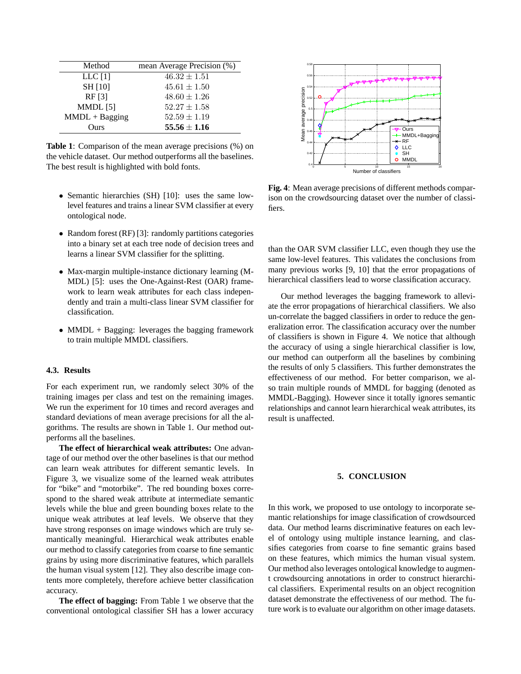| Method           | mean Average Precision (%) |
|------------------|----------------------------|
| LLC $[1]$        | $46.32 \pm 1.51$           |
| <b>SH</b> [10]   | $45.61 \pm 1.50$           |
| RF [3]           | $48.60 \pm 1.26$           |
| MMDL [5]         | $52.27 \pm 1.58$           |
| $MMDL + Bagging$ | $52.59 \pm 1.19$           |
| Ours             | $55.56 \pm 1.16$           |

**Table 1**: Comparison of the mean average precisions (%) on the vehicle dataset. Our method outperforms all the baselines. The best result is highlighted with bold fonts.

- Semantic hierarchies (SH) [10]: uses the same lowlevel features and trains a linear SVM classifier at every ontological node.
- Random forest (RF) [3]: randomly partitions categories into a binary set at each tree node of decision trees and learns a linear SVM classifier for the splitting.
- Max-margin multiple-instance dictionary learning (M-MDL) [5]: uses the One-Against-Rest (OAR) framework to learn weak attributes for each class independently and train a multi-class linear SVM classifier for classification.
- MMDL + Bagging: leverages the bagging framework to train multiple MMDL classifiers.

### **4.3. Results**

For each experiment run, we randomly select 30% of the training images per class and test on the remaining images. We run the experiment for 10 times and record averages and standard deviations of mean average precisions for all the algorithms. The results are shown in Table 1. Our method outperforms all the baselines.

**The effect of hierarchical weak attributes:** One advantage of our method over the other baselines is that our method can learn weak attributes for different semantic levels. In Figure 3, we visualize some of the learned weak attributes for "bike" and "motorbike". The red bounding boxes correspond to the shared weak attribute at intermediate semantic levels while the blue and green bounding boxes relate to the unique weak attributes at leaf levels. We observe that they have strong responses on image windows which are truly semantically meaningful. Hierarchical weak attributes enable our method to classify categories from coarse to fine semantic grains by using more discriminative features, which parallels the human visual system [12]. They also describe image contents more completely, therefore achieve better classification accuracy.

**The effect of bagging:** From Table 1 we observe that the conventional ontological classifier SH has a lower accuracy



**Fig. 4**: Mean average precisions of different methods comparison on the crowdsourcing dataset over the number of classifiers.

than the OAR SVM classifier LLC, even though they use the same low-level features. This validates the conclusions from many previous works [9, 10] that the error propagations of hierarchical classifiers lead to worse classification accuracy.

Our method leverages the bagging framework to alleviate the error propagations of hierarchical classifiers. We also un-correlate the bagged classifiers in order to reduce the generalization error. The classification accuracy over the number of classifiers is shown in Figure 4. We notice that although the accuracy of using a single hierarchical classifier is low, our method can outperform all the baselines by combining the results of only 5 classifiers. This further demonstrates the effectiveness of our method. For better comparison, we also train multiple rounds of MMDL for bagging (denoted as MMDL-Bagging). However since it totally ignores semantic relationships and cannot learn hierarchical weak attributes, its result is unaffected.

# **5. CONCLUSION**

In this work, we proposed to use ontology to incorporate semantic relationships for image classification of crowdsourced data. Our method learns discriminative features on each level of ontology using multiple instance learning, and classifies categories from coarse to fine semantic grains based on these features, which mimics the human visual system. Our method also leverages ontological knowledge to augment crowdsourcing annotations in order to construct hierarchical classifiers. Experimental results on an object recognition dataset demonstrate the effectiveness of our method. The future work is to evaluate our algorithm on other image datasets.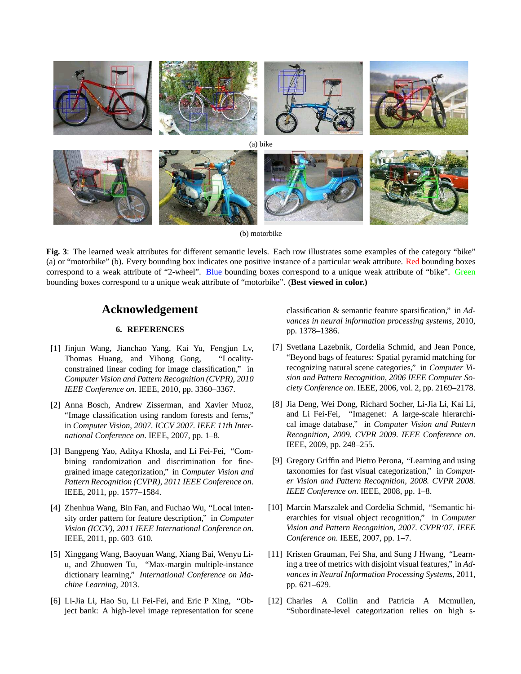

**Fig. 3**: The learned weak attributes for different semantic levels. Each row illustrates some examples of the category "bike" (a) or "motorbike" (b). Every bounding box indicates one positive instance of a particular weak attribute. Red bounding boxes correspond to a weak attribute of "2-wheel". Blue bounding boxes correspond to a unique weak attribute of "bike". Green

bounding boxes correspond to a unique weak attribute of "motorbike". (**Best viewed in color.)**

# **Acknowledgement**

# **6. REFERENCES**

- [1] Jinjun Wang, Jianchao Yang, Kai Yu, Fengjun Lv, Thomas Huang, and Yihong Gong, "Localityconstrained linear coding for image classification," in *Computer Vision and Pattern Recognition (CVPR), 2010 IEEE Conference on*. IEEE, 2010, pp. 3360–3367.
- [2] Anna Bosch, Andrew Zisserman, and Xavier Muoz, "Image classification using random forests and ferns," in *Computer Vision, 2007. ICCV 2007. IEEE 11th International Conference on*. IEEE, 2007, pp. 1–8.
- [3] Bangpeng Yao, Aditya Khosla, and Li Fei-Fei, "Combining randomization and discrimination for finegrained image categorization," in *Computer Vision and Pattern Recognition (CVPR), 2011 IEEE Conference on*. IEEE, 2011, pp. 1577–1584.
- [4] Zhenhua Wang, Bin Fan, and Fuchao Wu, "Local intensity order pattern for feature description," in *Computer Vision (ICCV), 2011 IEEE International Conference on*. IEEE, 2011, pp. 603–610.
- [5] Xinggang Wang, Baoyuan Wang, Xiang Bai, Wenyu Liu, and Zhuowen Tu, "Max-margin multiple-instance dictionary learning," *International Conference on Machine Learning*, 2013.
- [6] Li-Jia Li, Hao Su, Li Fei-Fei, and Eric P Xing, "Object bank: A high-level image representation for scene

classification & semantic feature sparsification," in *Advances in neural information processing systems*, 2010, pp. 1378–1386.

- [7] Svetlana Lazebnik, Cordelia Schmid, and Jean Ponce, "Beyond bags of features: Spatial pyramid matching for recognizing natural scene categories," in *Computer Vision and Pattern Recognition, 2006 IEEE Computer Society Conference on*. IEEE, 2006, vol. 2, pp. 2169–2178.
- [8] Jia Deng, Wei Dong, Richard Socher, Li-Jia Li, Kai Li, and Li Fei-Fei, "Imagenet: A large-scale hierarchical image database," in *Computer Vision and Pattern Recognition, 2009. CVPR 2009. IEEE Conference on*. IEEE, 2009, pp. 248–255.
- [9] Gregory Griffin and Pietro Perona, "Learning and using taxonomies for fast visual categorization," in *Computer Vision and Pattern Recognition, 2008. CVPR 2008. IEEE Conference on*. IEEE, 2008, pp. 1–8.
- [10] Marcin Marszalek and Cordelia Schmid, "Semantic hierarchies for visual object recognition," in *Computer Vision and Pattern Recognition, 2007. CVPR'07. IEEE Conference on*. IEEE, 2007, pp. 1–7.
- [11] Kristen Grauman, Fei Sha, and Sung J Hwang, "Learning a tree of metrics with disjoint visual features," in *Advances in Neural Information Processing Systems*, 2011, pp. 621–629.
- [12] Charles A Collin and Patricia A Mcmullen, "Subordinate-level categorization relies on high s-